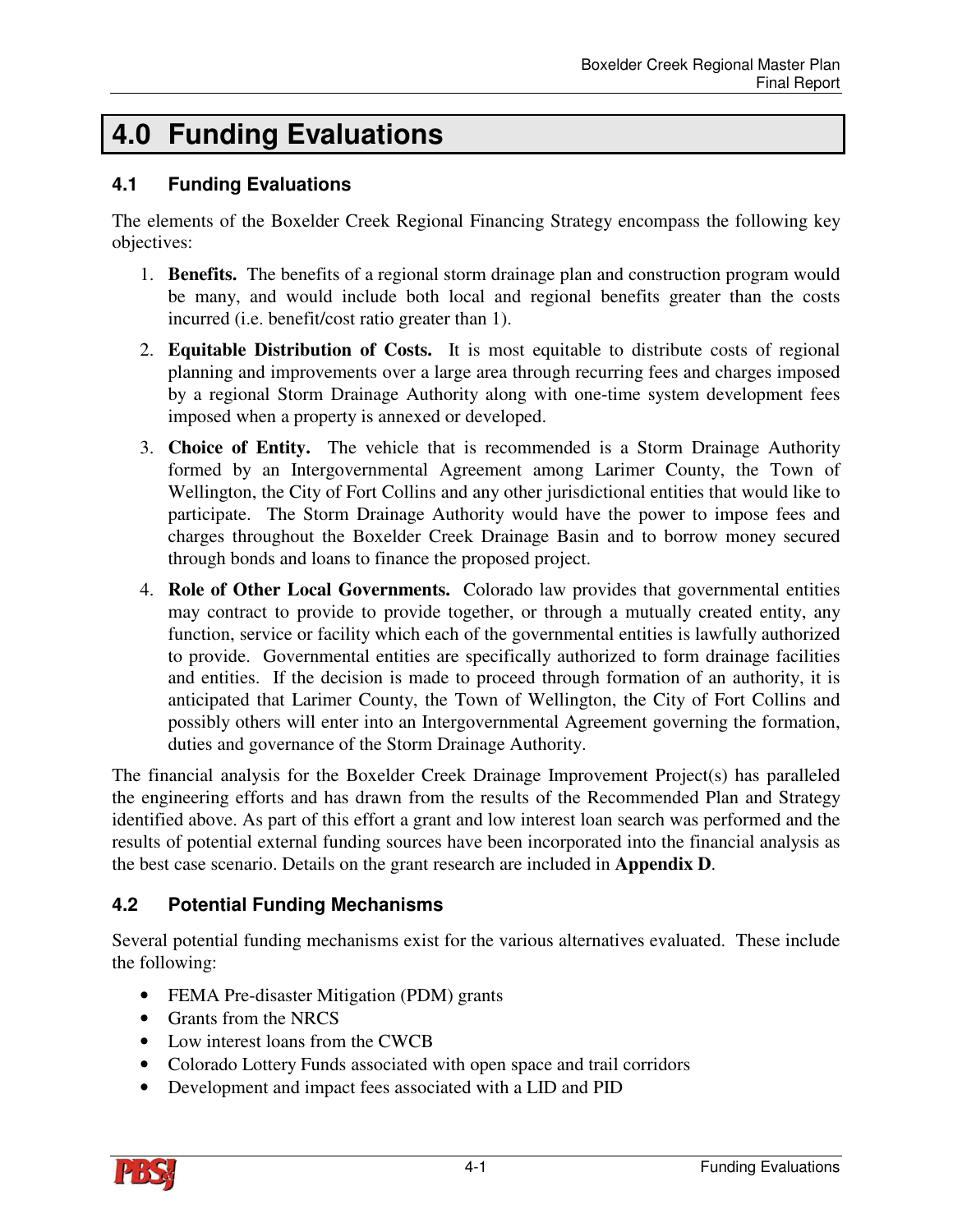## **4.0 Funding Evaluations**

#### **4.1 Funding Evaluations**

The elements of the Boxelder Creek Regional Financing Strategy encompass the following key objectives:

- 1. **Benefits.** The benefits of a regional storm drainage plan and construction program would be many, and would include both local and regional benefits greater than the costs incurred (i.e. benefit/cost ratio greater than 1).
- 2. **Equitable Distribution of Costs.** It is most equitable to distribute costs of regional planning and improvements over a large area through recurring fees and charges imposed by a regional Storm Drainage Authority along with one-time system development fees imposed when a property is annexed or developed.
- 3. **Choice of Entity.** The vehicle that is recommended is a Storm Drainage Authority formed by an Intergovernmental Agreement among Larimer County, the Town of Wellington, the City of Fort Collins and any other jurisdictional entities that would like to participate. The Storm Drainage Authority would have the power to impose fees and charges throughout the Boxelder Creek Drainage Basin and to borrow money secured through bonds and loans to finance the proposed project.
- 4. **Role of Other Local Governments.** Colorado law provides that governmental entities may contract to provide to provide together, or through a mutually created entity, any function, service or facility which each of the governmental entities is lawfully authorized to provide. Governmental entities are specifically authorized to form drainage facilities and entities. If the decision is made to proceed through formation of an authority, it is anticipated that Larimer County, the Town of Wellington, the City of Fort Collins and possibly others will enter into an Intergovernmental Agreement governing the formation, duties and governance of the Storm Drainage Authority.

The financial analysis for the Boxelder Creek Drainage Improvement Project(s) has paralleled the engineering efforts and has drawn from the results of the Recommended Plan and Strategy identified above. As part of this effort a grant and low interest loan search was performed and the results of potential external funding sources have been incorporated into the financial analysis as the best case scenario. Details on the grant research are included in **Appendix D**.

## **4.2 Potential Funding Mechanisms**

Several potential funding mechanisms exist for the various alternatives evaluated. These include the following:

- FEMA Pre-disaster Mitigation (PDM) grants
- Grants from the NRCS
- Low interest loans from the CWCB
- Colorado Lottery Funds associated with open space and trail corridors
- Development and impact fees associated with a LID and PID

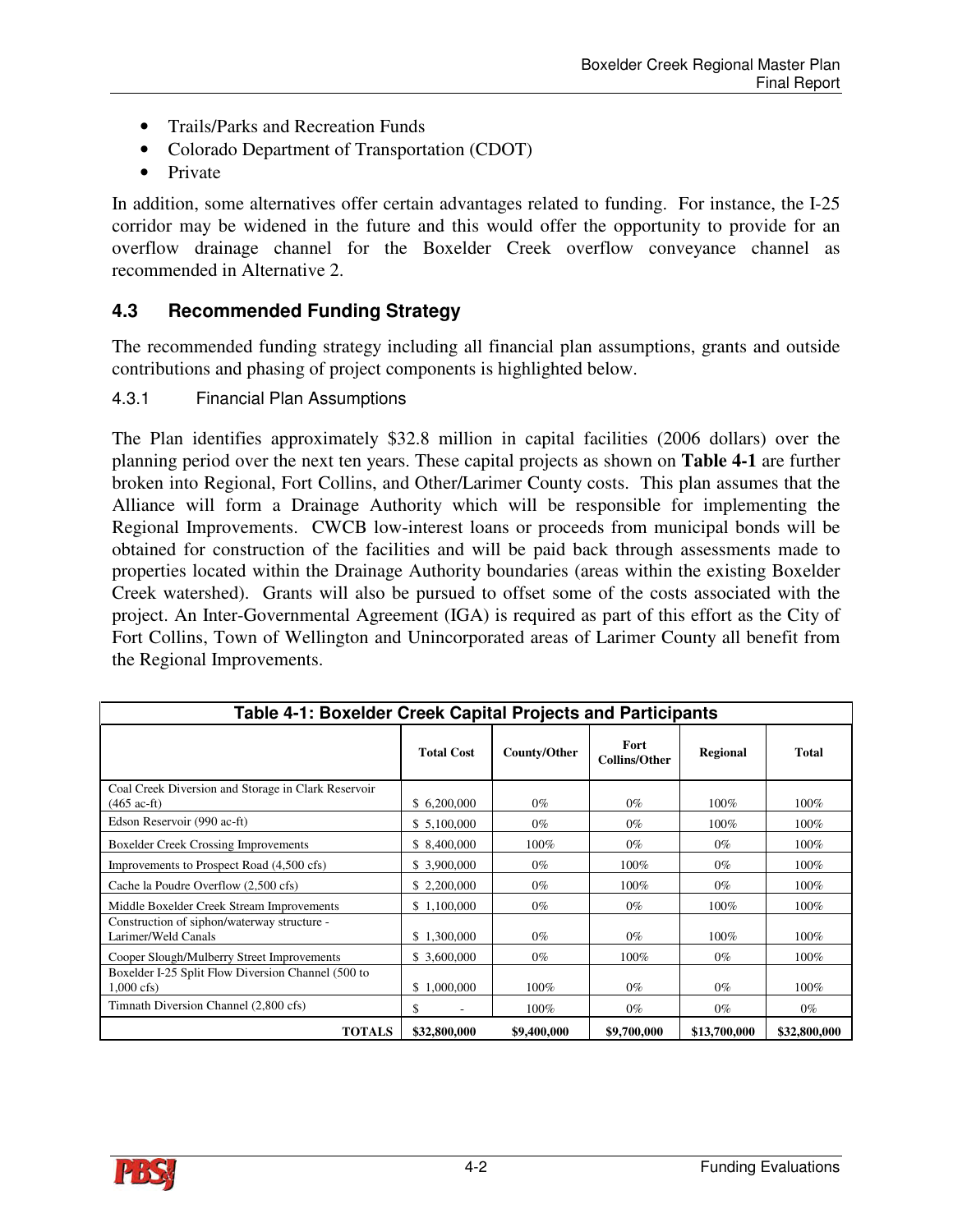- Trails/Parks and Recreation Funds
- Colorado Department of Transportation (CDOT)
- Private

In addition, some alternatives offer certain advantages related to funding. For instance, the I-25 corridor may be widened in the future and this would offer the opportunity to provide for an overflow drainage channel for the Boxelder Creek overflow conveyance channel as recommended in Alternative 2.

#### **4.3 Recommended Funding Strategy**

The recommended funding strategy including all financial plan assumptions, grants and outside contributions and phasing of project components is highlighted below.

4.3.1 Financial Plan Assumptions

The Plan identifies approximately \$32.8 million in capital facilities (2006 dollars) over the planning period over the next ten years. These capital projects as shown on **Table 4-1** are further broken into Regional, Fort Collins, and Other/Larimer County costs. This plan assumes that the Alliance will form a Drainage Authority which will be responsible for implementing the Regional Improvements. CWCB low-interest loans or proceeds from municipal bonds will be obtained for construction of the facilities and will be paid back through assessments made to properties located within the Drainage Authority boundaries (areas within the existing Boxelder Creek watershed). Grants will also be pursued to offset some of the costs associated with the project. An Inter-Governmental Agreement (IGA) is required as part of this effort as the City of Fort Collins, Town of Wellington and Unincorporated areas of Larimer County all benefit from the Regional Improvements.

| Table 4-1: Boxelder Creek Capital Projects and Participants                   |                   |              |                              |                 |              |
|-------------------------------------------------------------------------------|-------------------|--------------|------------------------------|-----------------|--------------|
|                                                                               | <b>Total Cost</b> | County/Other | Fort<br><b>Collins/Other</b> | <b>Regional</b> | <b>Total</b> |
| Coal Creek Diversion and Storage in Clark Reservoir<br>$(465 \text{ ac-fit})$ | \$6,200,000       | $0\%$        | $0\%$                        | $100\%$         | 100%         |
| Edson Reservoir (990 ac-ft)                                                   | \$ 5,100,000      | $0\%$        | $0\%$                        | $100\%$         | 100%         |
| <b>Boxelder Creek Crossing Improvements</b>                                   | \$ 8,400,000      | 100%         | $0\%$                        | $0\%$           | 100%         |
| Improvements to Prospect Road (4,500 cfs)                                     | \$3,900,000       | $0\%$        | 100%                         | $0\%$           | 100%         |
| Cache la Poudre Overflow (2,500 cfs)                                          | \$2,200,000       | $0\%$        | $100\%$                      | $0\%$           | 100%         |
| Middle Boxelder Creek Stream Improvements                                     | \$1,100,000       | $0\%$        | $0\%$                        | 100%            | 100%         |
| Construction of siphon/waterway structure -<br>Larimer/Weld Canals            | \$1,300,000       | $0\%$        | $0\%$                        | 100%            | 100%         |
| Cooper Slough/Mulberry Street Improvements                                    | \$3,600,000       | $0\%$        | $100\%$                      | $0\%$           | 100%         |
| Boxelder I-25 Split Flow Diversion Channel (500 to<br>$1,000 \text{ cfs}$     | \$1,000,000       | 100%         | $0\%$                        | $0\%$           | 100%         |
| Timnath Diversion Channel (2,800 cfs)                                         | \$<br>٠           | 100%         | $0\%$                        | $0\%$           | $0\%$        |
| <b>TOTALS</b>                                                                 | \$32,800,000      | \$9,400,000  | \$9,700,000                  | \$13,700,000    | \$32,800,000 |

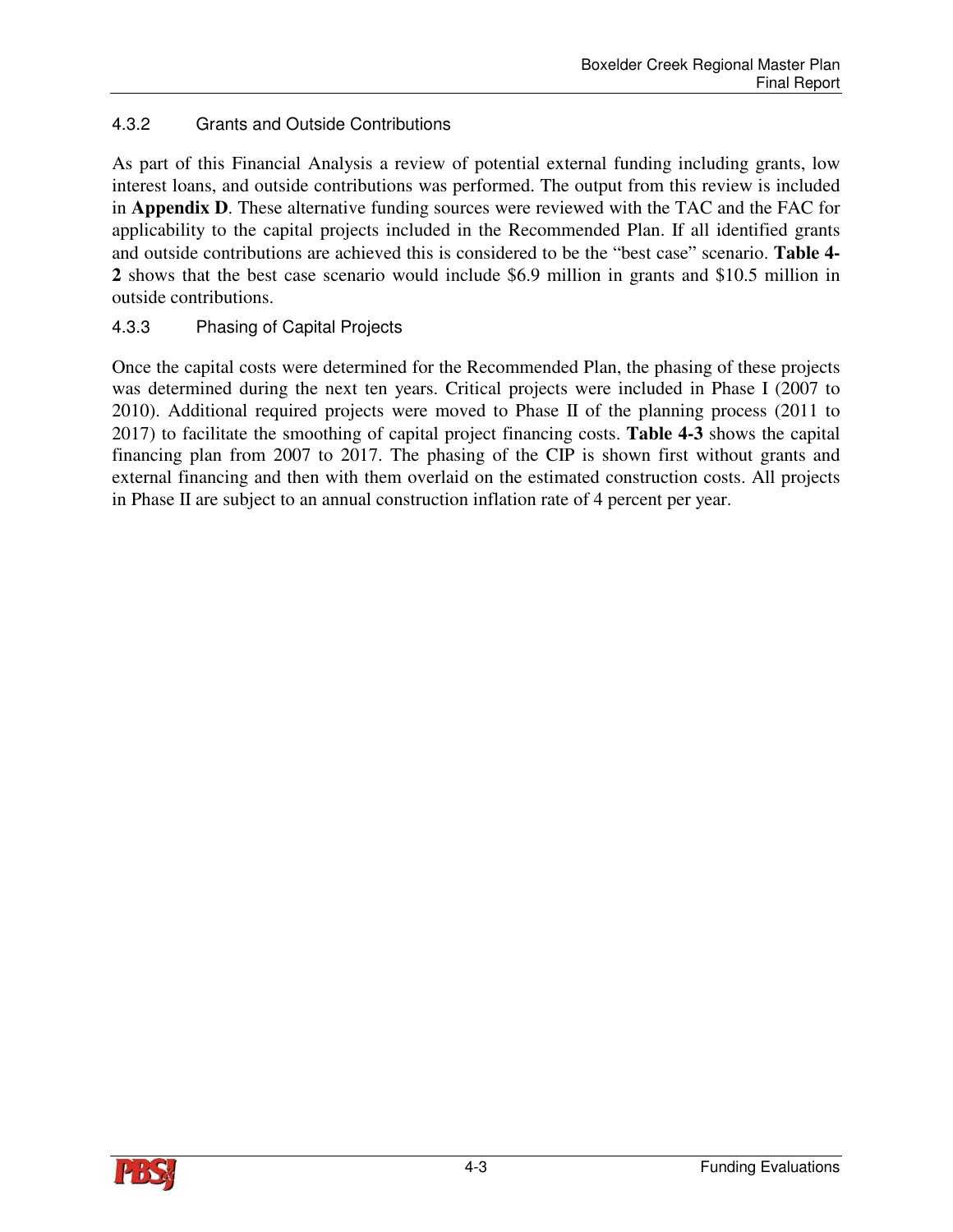### 4.3.2 Grants and Outside Contributions

As part of this Financial Analysis a review of potential external funding including grants, low interest loans, and outside contributions was performed. The output from this review is included in **Appendix D**. These alternative funding sources were reviewed with the TAC and the FAC for applicability to the capital projects included in the Recommended Plan. If all identified grants and outside contributions are achieved this is considered to be the "best case" scenario. **Table 4- 2** shows that the best case scenario would include \$6.9 million in grants and \$10.5 million in outside contributions.

#### 4.3.3 Phasing of Capital Projects

Once the capital costs were determined for the Recommended Plan, the phasing of these projects was determined during the next ten years. Critical projects were included in Phase I (2007 to 2010). Additional required projects were moved to Phase II of the planning process (2011 to 2017) to facilitate the smoothing of capital project financing costs. **Table 4-3** shows the capital financing plan from 2007 to 2017. The phasing of the CIP is shown first without grants and external financing and then with them overlaid on the estimated construction costs. All projects in Phase II are subject to an annual construction inflation rate of 4 percent per year.

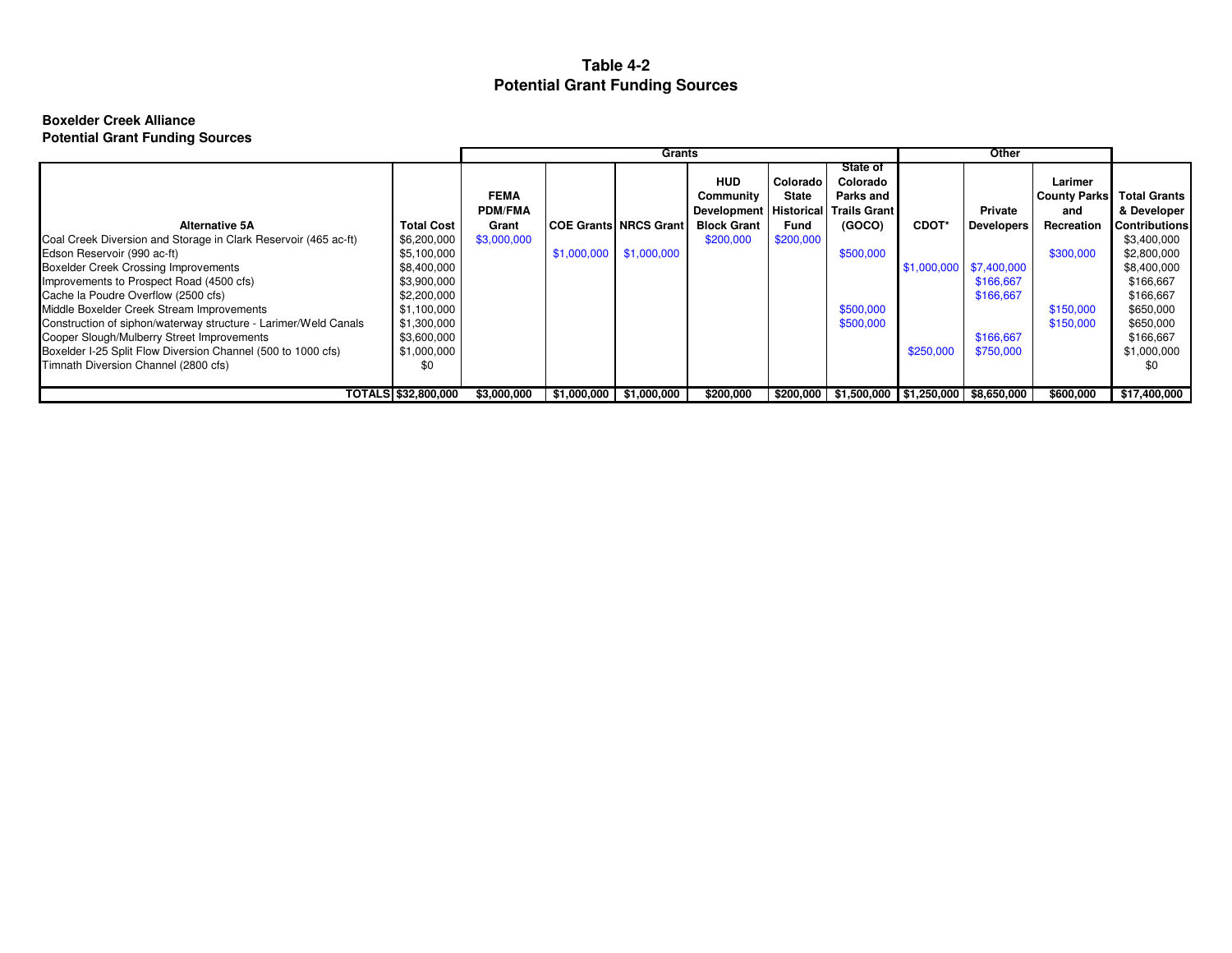#### **Table 4-2 Potential Grant Funding Sources**

#### **Boxelder Creek Alliance**

**Potential Grant Funding Sources**

|                                                                                                                                                                                                                                                                                                                                                                                                      |                                                                                                              |                                                       |                          | Grants                       |                                                                           |                                                                    |                                                                                 |                                        | Other                                            |                                                                  |                                                                                                    |
|------------------------------------------------------------------------------------------------------------------------------------------------------------------------------------------------------------------------------------------------------------------------------------------------------------------------------------------------------------------------------------------------------|--------------------------------------------------------------------------------------------------------------|-------------------------------------------------------|--------------------------|------------------------------|---------------------------------------------------------------------------|--------------------------------------------------------------------|---------------------------------------------------------------------------------|----------------------------------------|--------------------------------------------------|------------------------------------------------------------------|----------------------------------------------------------------------------------------------------|
| <b>Alternative 5A</b><br>Coal Creek Diversion and Storage in Clark Reservoir (465 ac-ft)<br>Edson Reservoir (990 ac-ft)                                                                                                                                                                                                                                                                              | Total Cost<br>\$6,200,000<br>\$5,100,000                                                                     | <b>FEMA</b><br><b>PDM/FMA</b><br>Grant<br>\$3,000,000 | $$1,000,000$ \$1,000,000 | <b>COE Grants NRCS Grant</b> | <b>HUD</b><br>Community<br>Development<br><b>Block Grant</b><br>\$200,000 | Colorado<br><b>State</b><br><b>Historical</b><br>Fund<br>\$200,000 | State of<br>Colorado<br>Parks and<br><b>Trails Grant</b><br>(GOCO)<br>\$500,000 | <b>CDOT</b>                            | Private<br><b>Developers</b>                     | Larimer<br><b>County Parks</b><br>and<br>Recreation<br>\$300,000 | <b>Total Grants</b><br>& Developer<br><b>Contributions</b><br>\$3,400,000<br>\$2,800,000           |
| <b>Boxelder Creek Crossing Improvements</b><br>Improvements to Prospect Road (4500 cfs)<br>Cache la Poudre Overflow (2500 cfs)<br>Middle Boxelder Creek Stream Improvements<br>Construction of siphon/waterway structure - Larimer/Weld Canals<br>Cooper Slough/Mulberry Street Improvements<br>Boxelder I-25 Split Flow Diversion Channel (500 to 1000 cfs)<br>Timnath Diversion Channel (2800 cfs) | \$8,400,000<br>\$3,900,000<br>\$2,200,000<br>\$1,100,000<br>\$1,300,000<br>\$3,600,000<br>\$1,000,000<br>\$0 |                                                       |                          |                              |                                                                           |                                                                    | \$500,000<br>\$500,000                                                          | $$1,000,000$ $$7,400,000$<br>\$250,000 | \$166,667<br>\$166,667<br>\$166,667<br>\$750,000 | \$150,000<br>\$150,000                                           | \$8,400,000<br>\$166,667<br>\$166,667<br>\$650,000<br>\$650,000<br>\$166,667<br>\$1,000,000<br>\$0 |
|                                                                                                                                                                                                                                                                                                                                                                                                      | <b>TOTALS \$32,800,000</b>                                                                                   | \$3,000,000                                           |                          | \$1,000,000 \$1,000,000      | \$200,000                                                                 |                                                                    | $$200,000$   \$1,500,000   \$1,250,000   \$8,650,000                            |                                        |                                                  | \$600,000                                                        | \$17,400,000                                                                                       |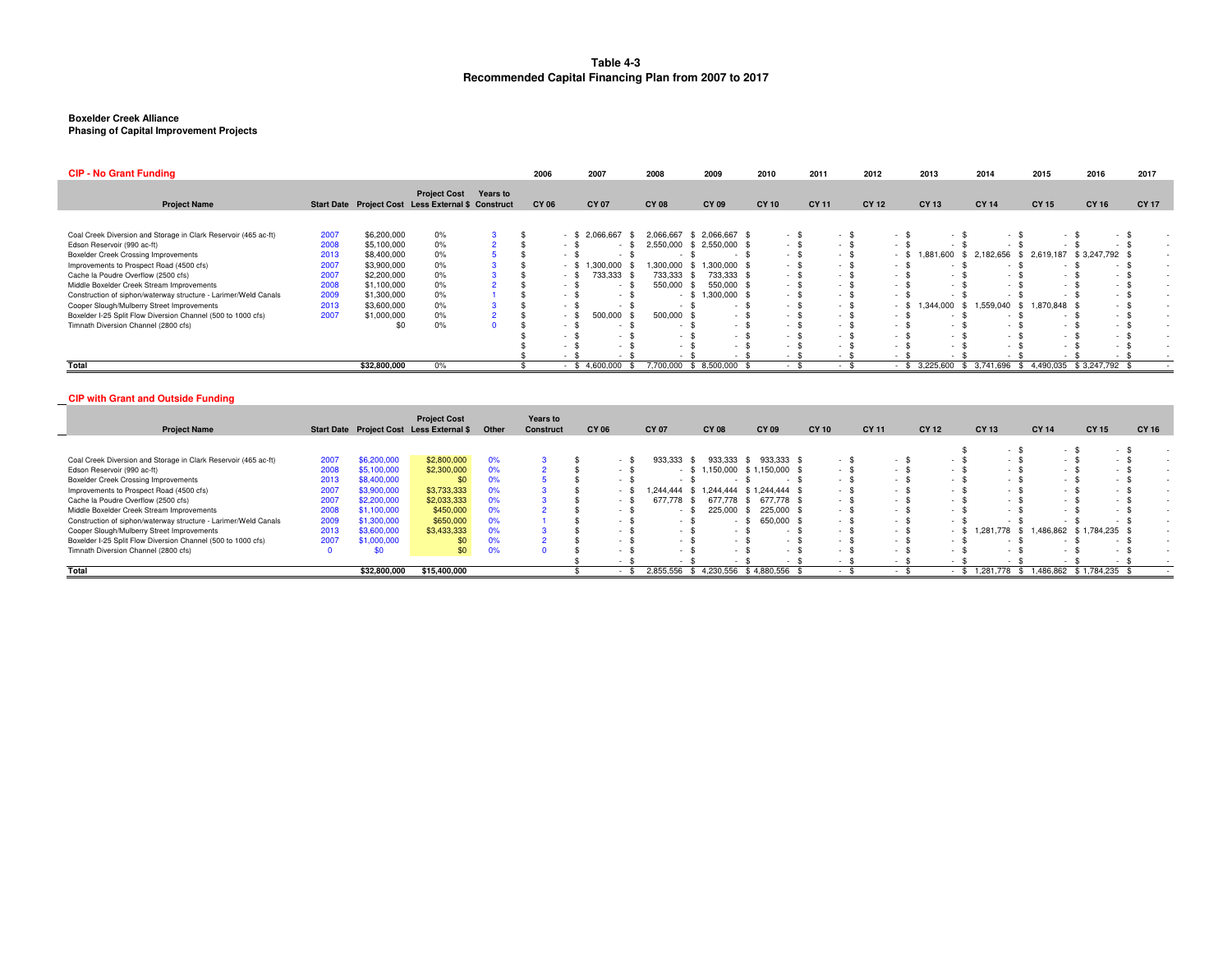#### **Table 4-3 Recommended Capital Financing Plan from 2007 to 2017**

#### **Boxelder Creek Alliance**

**Phasing of Capital Improvement Projects**

| <b>CIP - No Grant Funding</b>                                   |      |              |                                                                           |                 | 2006  |        | 2007                     | 2008         | 2009                      | 2010         | 2011                     | 2012  |                          | 2013         | 2014            | 2015             | 2016            | 2017         |
|-----------------------------------------------------------------|------|--------------|---------------------------------------------------------------------------|-----------------|-------|--------|--------------------------|--------------|---------------------------|--------------|--------------------------|-------|--------------------------|--------------|-----------------|------------------|-----------------|--------------|
| <b>Project Name</b>                                             |      |              | <b>Project Cost</b><br>Start Date Project Cost Less External \$ Construct | <b>Years to</b> | CY 06 |        | <b>CY 07</b>             | <b>CY 08</b> | CY 09                     | <b>CY 10</b> | <b>CY11</b>              | CY 12 |                          | <b>CY 13</b> | <b>CY 14</b>    | <b>CY 15</b>     | CY 16           | <b>CY 17</b> |
| Coal Creek Diversion and Storage in Clark Reservoir (465 ac-ft) | 2007 | \$6,200,000  | $0\%$                                                                     |                 |       |        | $-$ \$ 2,066,667         | 2,066,667    | \$ 2,066,667              | - \$         | - 56                     |       | - \$                     | - 36         |                 |                  |                 |              |
| Edson Reservoir (990 ac-ft)                                     | 2008 | \$5,100,000  | 0%                                                                        |                 |       |        | $\sim$                   |              | 2,550,000 \$ 2,550,000    | - 8          | - 56                     |       | - \$                     | $\sim$       |                 |                  |                 |              |
| <b>Boxelder Creek Crossing Improvements</b>                     | 2013 | \$8,400,000  | 0%                                                                        |                 |       | - 9    | $\sim$                   |              | $\sim$                    | - 36         | - 56                     |       | ۰.                       | 1.881.600    | \$ 2.182,656    | 2,619,187        | $$3,247,792$ \$ |              |
| Improvements to Prospect Road (4500 cfs)                        | 2007 | \$3,900,000  | 0%                                                                        |                 |       |        | .300.000                 | ,300,000     | 1.300.000<br>$\mathbf{F}$ |              | $\sim$                   |       | ۰.                       | $\sim$       |                 |                  |                 |              |
| Cache la Poudre Overflow (2500 cfs)                             | 2007 | \$2,200,000  | 0%                                                                        |                 |       |        | 733.333                  | 733,333      | 733,333                   | - 36         | $\sim$                   |       | ۰.                       | $\sim$       | . .             | $\sim$           |                 |              |
| Middle Boxelder Creek Stream Improvements                       | 2008 | \$1,100,000  | 0%                                                                        |                 |       |        | $\sim$                   | 550,000      | 550,000<br>- 55           | - 9          | $\overline{\phantom{a}}$ |       | - *                      | $\sim$       | - 3             | $\sim$           |                 |              |
| Construction of siphon/waterway structure - Larimer/Weld Canals | 2009 | \$1,300,000  | 0%                                                                        |                 |       |        | $\overline{\phantom{a}}$ |              | $-$ \$ 1,300,000          | . .          | $\sim$                   |       | $\overline{\phantom{a}}$ |              |                 |                  |                 |              |
| Cooper Slough/Mulberry Street Improvements                      | 2013 | \$3,600,000  | 0%                                                                        |                 |       | $-$ \$ | $\overline{\phantom{a}}$ |              | $\sim$                    | - 9          | - 8                      |       | - \$                     | .344.000     | .559.040<br>-SS | 1.870.848<br>-96 |                 |              |
| Boxelder I-25 Split Flow Diversion Channel (500 to 1000 cfs)    | 2007 | \$1,000,000  | 0%                                                                        |                 |       |        | 500.000                  | 500.000      | - 36                      |              | - 56                     |       | $\sim$                   | $\sim$       |                 |                  |                 |              |
| Timnath Diversion Channel (2800 cfs)                            |      | \$0          | 0%                                                                        |                 |       | - 35   | $\overline{\phantom{a}}$ | . .          | - 3                       | $\sim$       | - 3                      |       | $\sim$                   | - ა          | - *             | $\sim$           |                 |              |
|                                                                 |      |              |                                                                           |                 |       |        | $\sim$                   | ٠.           | $\sim$                    |              | $\sim$                   |       | $\overline{\phantom{a}}$ | $\sim$       | . .             | $\sim$           |                 |              |
|                                                                 |      |              |                                                                           |                 |       |        | $\sim$                   |              |                           |              | $\sim$                   |       |                          | $\sim$       | <b>Service</b>  |                  |                 |              |
|                                                                 |      |              |                                                                           |                 |       |        |                          |              |                           |              |                          |       |                          |              |                 |                  |                 |              |
| Total                                                           |      | \$32,800,000 | 0%                                                                        |                 |       |        | 4,600,000                | 7,700,000    | 8,500,000<br>-S           |              |                          |       |                          | 3,225,600    | 3.741<br>.696   | 4,490,035        | $$3,247,792$ \$ |              |

#### **CIP with Grant and Outside Funding**

| <b>Project Name</b>                                             |      |              | <b>Project Cost</b><br>Start Date Project Cost Less External \$ | Other | <b>Years to</b><br><b>Construct</b> | <b>CY 06</b> | <b>CY 07</b> | <b>CY 08</b> | CY 09           | <b>CY 10</b>             | <b>CY 11</b> | <b>CY 12</b> |                          | <b>CY 13</b> | <b>CY 14</b> | <b>CY 15</b>   | CY 16 |
|-----------------------------------------------------------------|------|--------------|-----------------------------------------------------------------|-------|-------------------------------------|--------------|--------------|--------------|-----------------|--------------------------|--------------|--------------|--------------------------|--------------|--------------|----------------|-------|
|                                                                 |      |              |                                                                 |       |                                     |              |              |              |                 |                          |              |              |                          |              |              |                |       |
| Coal Creek Diversion and Storage in Clark Reservoir (465 ac-ft) | 2007 | \$6,200,000  | \$2,800,000                                                     | 0%    |                                     |              | 933.333      | 933.333      | 933.333 \$      | $\sim$                   |              | $\sim$       | $\sim$                   |              | $\sim$       |                |       |
| Edson Reservoir (990 ac-ft)                                     | 2008 | \$5,100,000  | \$2,300,000                                                     | 0%    | $\sim$                              |              |              | .150.000     | $$1.150.000$ \$ | $\sim$                   |              | . .          | - 3                      |              | $\sim$       |                |       |
| <b>Boxelder Creek Crossing Improvements</b>                     | 2013 | \$8,400,000  | \$0                                                             | 0%    |                                     |              |              |              | . .             | $\sim$                   |              |              | $\sim$                   |              | $\sim$       |                |       |
| Improvements to Prospect Road (4500 cfs)                        | 2007 | \$3,900,000  | \$3,733,333                                                     | 0%    |                                     |              | .244.444     | .244.444     | 1.244.444 \$    |                          |              |              | $\sim$                   |              | $\sim$       |                |       |
| Cache la Poudre Overflow (2500 cfs)                             | 2007 | \$2,200,000  | \$2,033,333                                                     | 0%    |                                     |              | 677.778      | 677.778      | 677.778 \$      | $\overline{\phantom{a}}$ |              |              | $\sim$                   |              |              |                |       |
| Middle Boxelder Creek Stream Improvements                       | 2008 | \$1,100,000  | \$450,000                                                       | 0%    |                                     |              |              | 225.000      | 225,000 \$      | $\sim$                   |              |              | $\sim$                   |              | $\sim$       |                |       |
| Construction of siphon/waterway structure - Larimer/Weld Canals | 2009 | \$1,300,000  | \$650,000                                                       | 0%    |                                     |              |              |              | 650.000         | $\sim$                   |              | $\sim$       | $\sim$                   |              |              |                |       |
| Cooper Slough/Mulberry Street Improvements                      | 2013 | \$3,600,000  | \$3,433,333                                                     | 0%    |                                     |              | . .          |              | . .             | $\sim$                   |              | $\sim$       |                          | 778<br>1.281 | 1,486,862    | \$1.784.235 \$ |       |
| Boxelder I-25 Split Flow Diversion Channel (500 to 1000 cfs)    | 2007 | \$1,000,000  | \$0                                                             | 0%    |                                     |              | - 3          | $\sim$       |                 | $\sim$                   |              | . .          | $\overline{\phantom{a}}$ |              |              |                |       |
| Timnath Diversion Channel (2800 cfs)                            |      |              | \$0                                                             | 0%    | $\Omega$                            |              | . .          | $\sim$       | . .             | $\sim$                   |              | $\sim$       | $\sim$                   |              | $\sim$       |                |       |
|                                                                 |      |              |                                                                 |       |                                     |              |              |              |                 |                          |              |              |                          |              |              |                |       |
| Total                                                           |      | \$32,800,000 | \$15,400,000                                                    |       |                                     |              | 2,855,556    | \$4,230,556  | \$4,880,556     |                          |              |              |                          | 1,281,778    | 1,486,862    | \$1,784,235 \$ |       |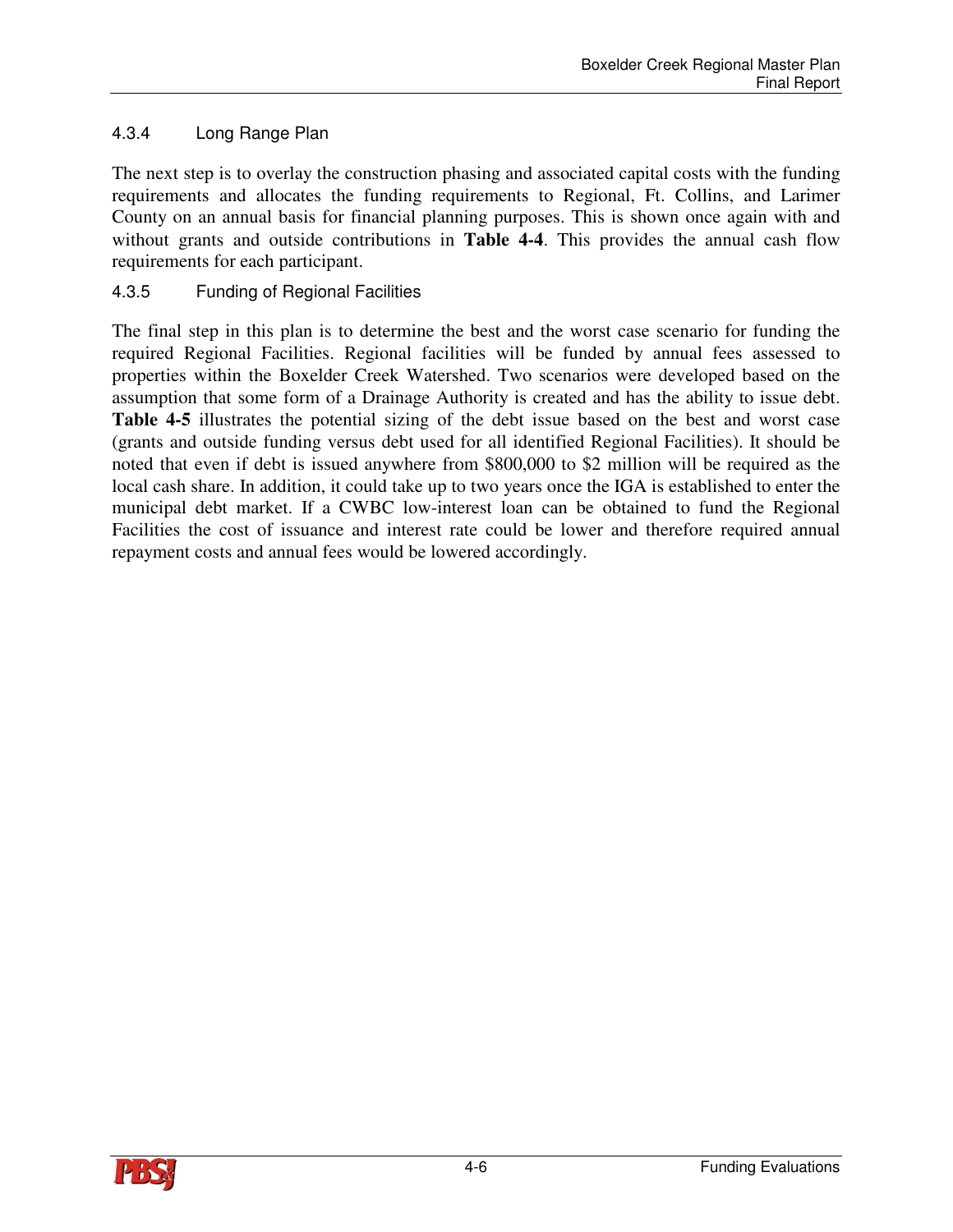## 4.3.4 Long Range Plan

The next step is to overlay the construction phasing and associated capital costs with the funding requirements and allocates the funding requirements to Regional, Ft. Collins, and Larimer County on an annual basis for financial planning purposes. This is shown once again with and without grants and outside contributions in **Table 4-4**. This provides the annual cash flow requirements for each participant.

#### 4.3.5 Funding of Regional Facilities

The final step in this plan is to determine the best and the worst case scenario for funding the required Regional Facilities. Regional facilities will be funded by annual fees assessed to properties within the Boxelder Creek Watershed. Two scenarios were developed based on the assumption that some form of a Drainage Authority is created and has the ability to issue debt. **Table 4-5** illustrates the potential sizing of the debt issue based on the best and worst case (grants and outside funding versus debt used for all identified Regional Facilities). It should be noted that even if debt is issued anywhere from \$800,000 to \$2 million will be required as the local cash share. In addition, it could take up to two years once the IGA is established to enter the municipal debt market. If a CWBC low-interest loan can be obtained to fund the Regional Facilities the cost of issuance and interest rate could be lower and therefore required annual repayment costs and annual fees would be lowered accordingly.

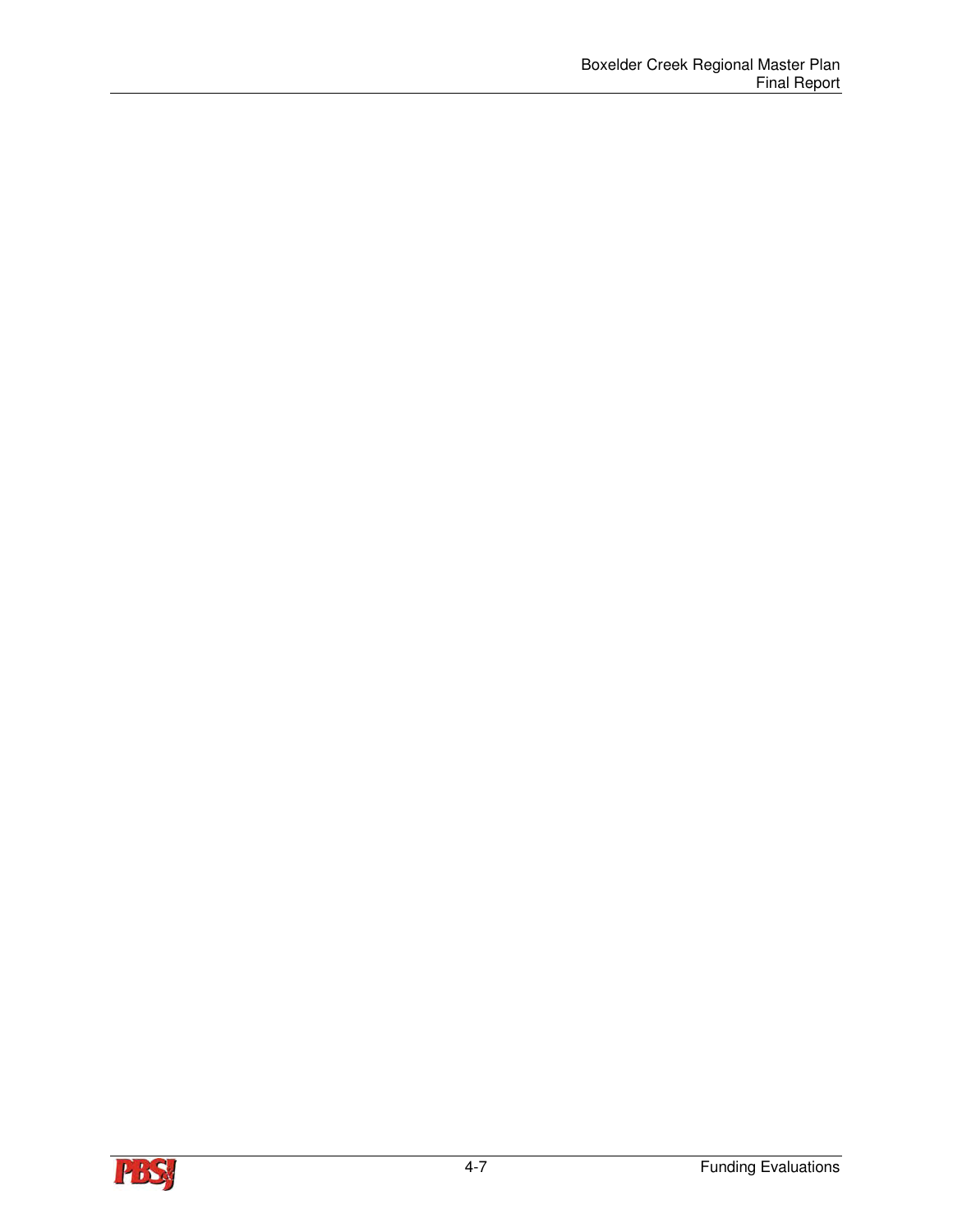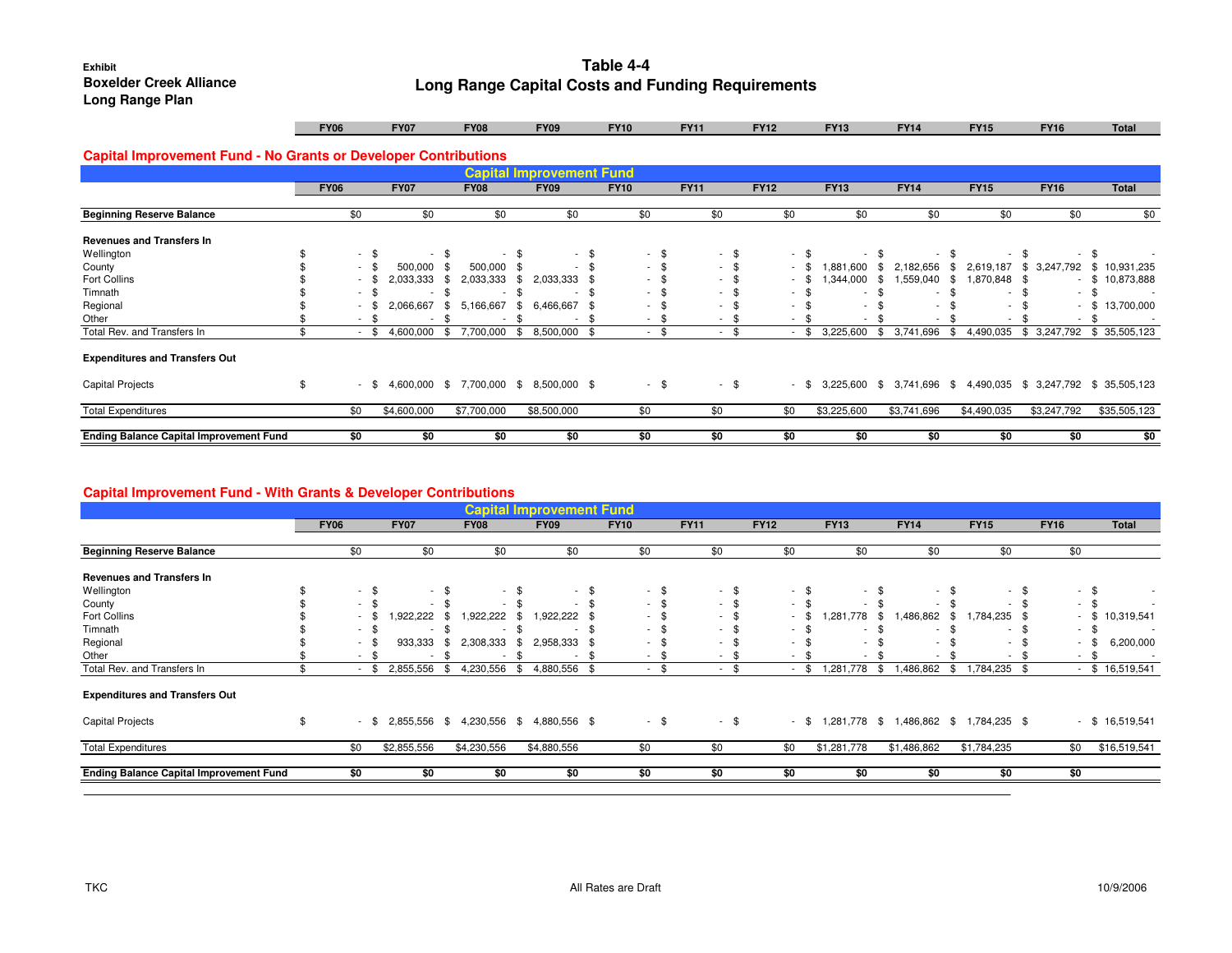#### **Exhibit Boxelder Creek Alliance Long Range Plan**

#### **Table 4-4 Long Range Capital Costs and Funding Requirements**

|                                                                        | <b>FY06</b>                    | <b>FY07</b>          |      | <b>FY08</b> |     | <b>FY09</b>                     | <b>FY10</b>                    | <b>FY11</b>              |      | <b>FY12</b> |                                 | <b>FY13</b>              |      | <b>FY14</b>              |      | <b>FY15</b>              |     | <b>FY16</b>                                    |    | <b>Total</b> |
|------------------------------------------------------------------------|--------------------------------|----------------------|------|-------------|-----|---------------------------------|--------------------------------|--------------------------|------|-------------|---------------------------------|--------------------------|------|--------------------------|------|--------------------------|-----|------------------------------------------------|----|--------------|
| <b>Capital Improvement Fund - No Grants or Developer Contributions</b> |                                |                      |      |             |     |                                 |                                |                          |      |             |                                 |                          |      |                          |      |                          |     |                                                |    |              |
|                                                                        |                                |                      |      |             |     | <b>Capital Improvement Fund</b> |                                |                          |      |             |                                 |                          |      |                          |      |                          |     |                                                |    |              |
|                                                                        | <b>FY06</b>                    | <b>FY07</b>          |      | <b>FY08</b> |     | <b>FY09</b>                     | <b>FY10</b>                    | <b>FY11</b>              |      | <b>FY12</b> |                                 | <b>FY13</b>              |      | <b>FY14</b>              |      | <b>FY15</b>              |     | <b>FY16</b>                                    |    | <b>Total</b> |
| <b>Beginning Reserve Balance</b>                                       | \$0                            | \$0                  |      | \$0         |     | \$0                             | \$0                            | \$0                      |      |             | \$0                             | \$0                      |      | \$0                      |      | \$0                      |     | \$0                                            |    | \$0          |
| <b>Revenues and Transfers In</b>                                       |                                |                      |      |             |     |                                 |                                |                          |      |             |                                 |                          |      |                          |      |                          |     |                                                |    |              |
| Wellington                                                             | $\sim$                         | \$<br>$\sim$         | -\$  |             | \$  | -\$<br>$\sim$                   | \$<br>$\sim$                   | $\sim$                   | - \$ |             | -\$<br>$\sim$                   |                          | \$   |                          | -\$  |                          | -\$ | $\sim$                                         | \$ |              |
| County                                                                 | $\sim$                         | \$<br>500.000        | \$   | 500,000 \$  |     |                                 | \$<br>$\overline{\phantom{a}}$ | $\sim$                   | \$   |             | \$<br>$\sim$                    | 1,600<br>.881            | \$   | 2,182,656                | \$   | 2,619,187                | \$  | 3,247,792                                      | \$ | 10,931,235   |
| <b>Fort Collins</b>                                                    |                                | 2,033,333<br>\$.     | - \$ | 2,033,333   | -S  | 2,033,333 \$                    | \$                             | $\overline{\phantom{a}}$ | \$   |             | \$                              | 1,344,000                | - \$ | 1,559,040                | - \$ | 1,870,848 \$             |     |                                                |    | \$10,873,888 |
| Timnath                                                                | $\overline{\phantom{a}}$       | \$                   | . ፍ  |             | \$  |                                 | \$<br>$\overline{\phantom{a}}$ | $\overline{\phantom{a}}$ | -\$  |             | \$<br>$\overline{\phantom{a}}$  | $\overline{\phantom{a}}$ | -\$  |                          |      |                          |     | $\overline{\phantom{0}}$                       | £. |              |
| Regional                                                               |                                | 2,066,667<br>\$      | - \$ | 5,166,667   | \$. | 6,466,667                       | \$<br>$\overline{\phantom{a}}$ | $\overline{\phantom{a}}$ | -\$  |             | -\$<br>$\overline{\phantom{a}}$ | $\overline{\phantom{a}}$ |      | $\overline{\phantom{0}}$ |      | $\overline{\phantom{a}}$ |     | $\overline{\phantom{a}}$                       |    | \$13,700,000 |
| Other                                                                  |                                | \$                   |      |             |     |                                 | \$<br>$\overline{\phantom{a}}$ | $\overline{\phantom{a}}$ | - \$ |             |                                 |                          |      |                          |      |                          |     | $\overline{\phantom{0}}$                       |    |              |
| Total Rev. and Transfers In                                            |                                | 4,600,000<br>- \$    | \$   | 7,700,000   | \$  | 8,500,000 \$                    | \$<br>$\overline{\phantom{a}}$ | $\overline{\phantom{a}}$ | - \$ |             | \$                              | 3,225,600                | \$   | 3,741,696                | \$   | 4,490,035                | \$  | 3,247,792                                      |    | \$35,505,123 |
| <b>Expenditures and Transfers Out</b>                                  |                                |                      |      |             |     |                                 |                                |                          |      |             |                                 |                          |      |                          |      |                          |     |                                                |    |              |
| <b>Capital Projects</b>                                                | \$<br>$\overline{\phantom{a}}$ | 4,600,000 \$<br>- \$ |      |             |     | 7,700,000 \$ 8,500,000 \$       | - \$                           |                          | - \$ |             |                                 | $$3,225,600$ \$          |      |                          |      |                          |     | 3,741,696 \$4,490,035 \$3,247,792 \$35,505,123 |    |              |
| <b>Total Expenditures</b>                                              | \$0                            | \$4,600,000          |      | \$7,700,000 |     | \$8,500,000                     | \$0                            | \$0                      |      |             | \$0                             | \$3,225,600              |      | \$3,741,696              |      | \$4,490,035              |     | \$3,247,792                                    |    | \$35,505,123 |
| <b>Ending Balance Capital Improvement Fund</b>                         | \$0                            | \$0                  |      | \$0         |     | \$0                             | \$0                            | \$0                      |      |             | \$0                             | \$0                      |      | \$0                      |      | \$0                      |     | \$0                                            |    | \$0          |

#### **Capital Improvement Fund - With Grants & Developer Contributions**

|                                                |             |      |                          |             |                          | <b>Capital Improvement Fund</b>        |                          |               |                          |      |               |                          |                          |                                            |                          |                                |
|------------------------------------------------|-------------|------|--------------------------|-------------|--------------------------|----------------------------------------|--------------------------|---------------|--------------------------|------|---------------|--------------------------|--------------------------|--------------------------------------------|--------------------------|--------------------------------|
|                                                | <b>FY06</b> |      | <b>FY07</b>              | <b>FY08</b> |                          | <b>FY09</b>                            |                          | <b>FY10</b>   | <b>FY11</b>              |      | <b>FY12</b>   | <b>FY13</b>              | <b>FY14</b>              | <b>FY15</b>                                | <b>FY16</b>              | Total                          |
|                                                |             |      |                          |             |                          |                                        |                          |               |                          |      |               |                          |                          |                                            |                          |                                |
| <b>Beginning Reserve Balance</b>               | \$0         |      | \$0                      |             | \$0                      | \$0                                    |                          | \$0           | \$0                      |      | \$0           | \$0                      | \$0                      | \$0                                        | \$0                      |                                |
| <b>Revenues and Transfers In</b>               |             |      |                          |             |                          |                                        |                          |               |                          |      |               |                          |                          |                                            |                          |                                |
| Wellington                                     | $\sim$      | -\$  | $\sim$                   | -\$         | $\sim$                   | -\$                                    | - \$                     | \$.<br>$\sim$ | $\sim$                   | \$   | \$.<br>$\sim$ | $\sim$                   | \$<br>$\sim$             | \$<br>\$.<br>$\sim$                        | $\sim$                   | \$<br>$\overline{\phantom{a}}$ |
| County                                         | $\sim$      |      | $\sim$                   |             | $\sim$                   |                                        | $\sim$                   | $\sim$        | $\sim$                   | \$   | $\sim$        | $\sim$                   | $\sim$                   | $\sim$                                     | $\overline{\phantom{a}}$ | $\overline{\phantom{a}}$       |
| Fort Collins                                   | $\sim$      |      | ,922,222                 | - \$        | 1,922,222                | 1,922,222<br>- \$                      |                          |               | $\sim$                   |      | $\sim$        | 1,281,778                | .486,862<br>- \$         | 1,784,235<br>- \$<br>- \$                  | $\sim$                   | 10,319,541<br>S.               |
| Timnath                                        | $\sim$      |      | $\overline{\phantom{a}}$ |             | $\overline{\phantom{a}}$ |                                        | $\sim$                   | $\sim$        | $\sim$                   |      | $\sim$<br>১৯  | $\overline{\phantom{a}}$ |                          | $\sim$                                     | $\sim$                   |                                |
| Regional                                       | $\sim$      |      | 933,333                  | - \$        | 2,308,333                | 2,958,333<br>- \$                      | - \$                     | $\sim$        | $\overline{\phantom{a}}$ |      | $\sim$        | $\overline{\phantom{a}}$ | $\overline{\phantom{a}}$ | $\sim$                                     | $\overline{\phantom{a}}$ | 6,200,000                      |
| Other                                          | $\sim$      |      |                          |             |                          |                                        | $\overline{\phantom{a}}$ | \$.<br>$\sim$ | $\overline{\phantom{a}}$ |      | $\sim$        | $\overline{\phantom{a}}$ | $\overline{\phantom{a}}$ | $\overline{\phantom{a}}$                   | $\overline{\phantom{a}}$ |                                |
| Total Rev. and Transfers In                    |             | \$   | 2,855,556                | \$          | 4,230,556                | 4,880,556<br>\$                        | - \$                     | \$<br>$\sim$  | $\sim$                   |      | \$<br>$\sim$  | 1,281,778                | 1,486,862<br>\$          | 1,784,235<br>\$<br>- \$                    |                          | $-$ \$ 16,519,541              |
| <b>Expenditures and Transfers Out</b>          |             |      |                          |             |                          |                                        |                          |               |                          |      |               |                          |                          |                                            |                          |                                |
| <b>Capital Projects</b>                        | \$          | - \$ |                          |             |                          | 2,855,556 \$ 4,230,556 \$ 4,880,556 \$ |                          | - \$          |                          | - \$ | $\sim$        |                          |                          | $$1,281,778$ $$1,486,862$ $$1,784,235$ $$$ |                          | $-$ \$ 16,519,541              |
| <b>Total Expenditures</b>                      | \$0         |      | \$2,855,556              |             | \$4,230,556              | \$4,880,556                            |                          | \$0           | \$0                      |      | \$0           | \$1,281,778              | \$1,486,862              | \$1,784,235                                | \$0                      | \$16,519,541                   |
| <b>Ending Balance Capital Improvement Fund</b> | \$0         |      | \$0                      |             | \$0                      | \$0                                    |                          | \$0           | \$0                      |      | \$0           | \$0                      | \$0                      | \$0                                        | \$0                      |                                |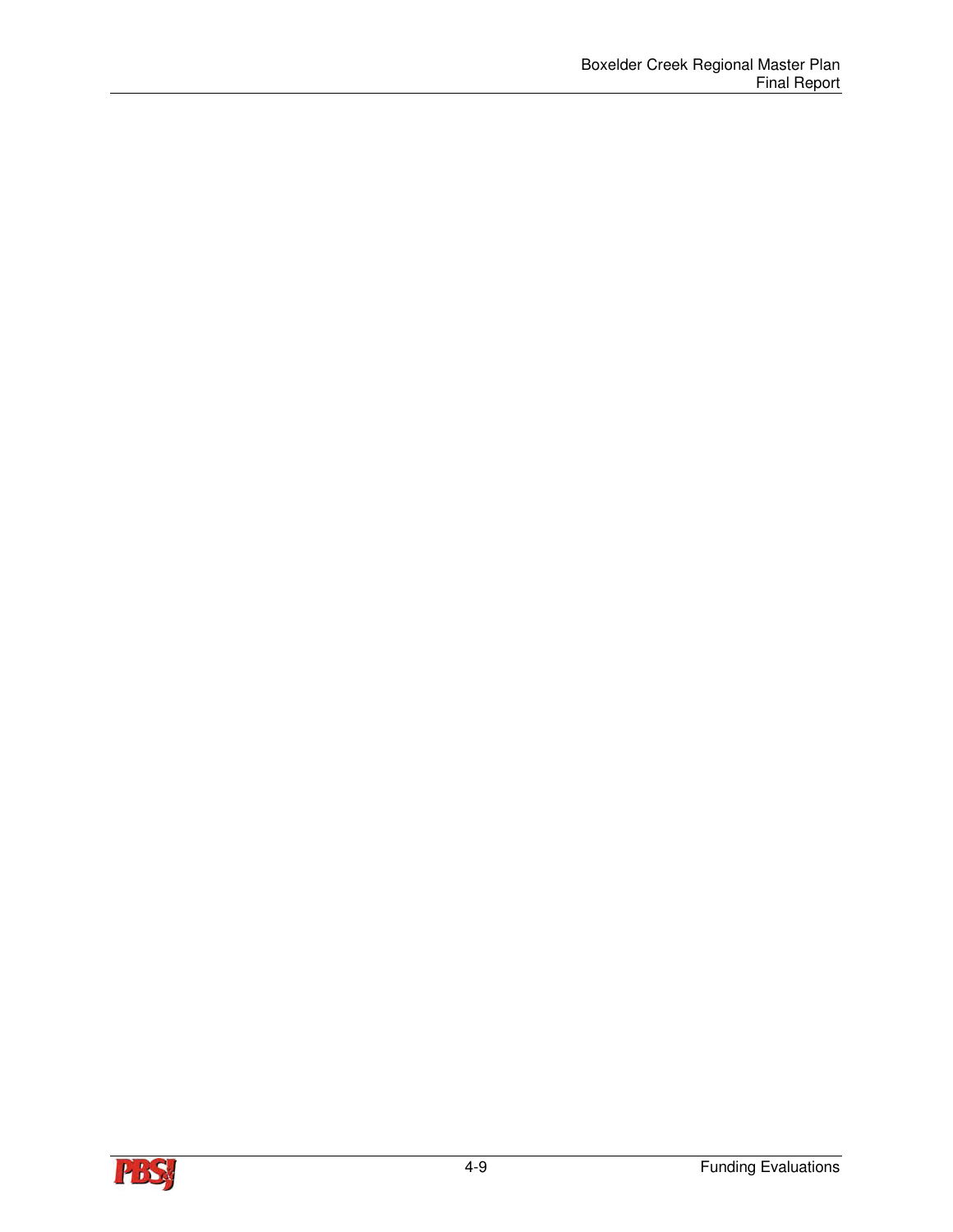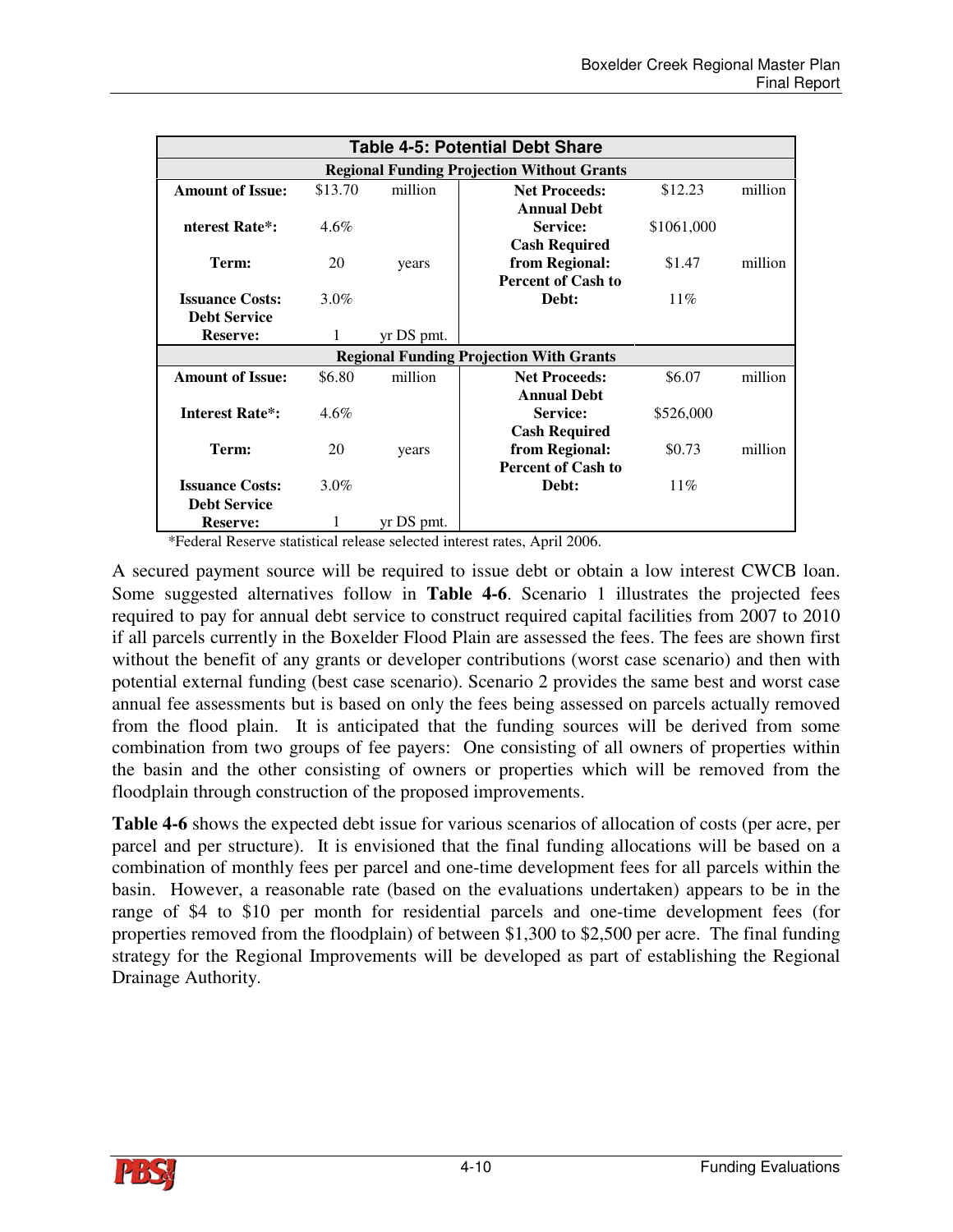|                         | <b>Table 4-5: Potential Debt Share</b> |            |                                                   |            |         |  |  |  |  |  |  |  |
|-------------------------|----------------------------------------|------------|---------------------------------------------------|------------|---------|--|--|--|--|--|--|--|
|                         |                                        |            | <b>Regional Funding Projection Without Grants</b> |            |         |  |  |  |  |  |  |  |
| <b>Amount of Issue:</b> | \$13.70                                | million    | <b>Net Proceeds:</b>                              | \$12.23    | million |  |  |  |  |  |  |  |
| nterest Rate*:          | $4.6\%$                                |            | <b>Annual Debt</b><br>Service:                    | \$1061,000 |         |  |  |  |  |  |  |  |
|                         |                                        |            | <b>Cash Required</b>                              |            |         |  |  |  |  |  |  |  |
| Term:                   | 20                                     | years      | from Regional:                                    | \$1.47     | million |  |  |  |  |  |  |  |
| <b>Issuance Costs:</b>  | $3.0\%$                                |            | <b>Percent of Cash to</b><br>Debt:                | 11%        |         |  |  |  |  |  |  |  |
| <b>Debt Service</b>     |                                        |            |                                                   |            |         |  |  |  |  |  |  |  |
| <b>Reserve:</b>         | 1                                      | yr DS pmt. |                                                   |            |         |  |  |  |  |  |  |  |
|                         |                                        |            | <b>Regional Funding Projection With Grants</b>    |            |         |  |  |  |  |  |  |  |
| <b>Amount of Issue:</b> | \$6.80                                 | million    | <b>Net Proceeds:</b>                              | \$6.07     | million |  |  |  |  |  |  |  |
|                         |                                        |            | <b>Annual Debt</b>                                |            |         |  |  |  |  |  |  |  |
| <b>Interest Rate*:</b>  | $4.6\%$                                |            | <b>Service:</b>                                   | \$526,000  |         |  |  |  |  |  |  |  |
|                         |                                        |            | <b>Cash Required</b>                              |            |         |  |  |  |  |  |  |  |
| Term:                   | 20                                     | years      | from Regional:                                    | \$0.73     | million |  |  |  |  |  |  |  |
|                         |                                        |            | <b>Percent of Cash to</b>                         |            |         |  |  |  |  |  |  |  |
| <b>Issuance Costs:</b>  | $3.0\%$                                |            | Debt:                                             | $11\%$     |         |  |  |  |  |  |  |  |
| <b>Debt Service</b>     |                                        |            |                                                   |            |         |  |  |  |  |  |  |  |
| Reserve:                | 1                                      | yr DS pmt. |                                                   |            |         |  |  |  |  |  |  |  |

\*Federal Reserve statistical release selected interest rates, April 2006.

A secured payment source will be required to issue debt or obtain a low interest CWCB loan. Some suggested alternatives follow in **Table 4-6**. Scenario 1 illustrates the projected fees required to pay for annual debt service to construct required capital facilities from 2007 to 2010 if all parcels currently in the Boxelder Flood Plain are assessed the fees. The fees are shown first without the benefit of any grants or developer contributions (worst case scenario) and then with potential external funding (best case scenario). Scenario 2 provides the same best and worst case annual fee assessments but is based on only the fees being assessed on parcels actually removed from the flood plain. It is anticipated that the funding sources will be derived from some combination from two groups of fee payers: One consisting of all owners of properties within the basin and the other consisting of owners or properties which will be removed from the floodplain through construction of the proposed improvements.

**Table 4-6** shows the expected debt issue for various scenarios of allocation of costs (per acre, per parcel and per structure). It is envisioned that the final funding allocations will be based on a combination of monthly fees per parcel and one-time development fees for all parcels within the basin. However, a reasonable rate (based on the evaluations undertaken) appears to be in the range of \$4 to \$10 per month for residential parcels and one-time development fees (for properties removed from the floodplain) of between \$1,300 to \$2,500 per acre. The final funding strategy for the Regional Improvements will be developed as part of establishing the Regional Drainage Authority.

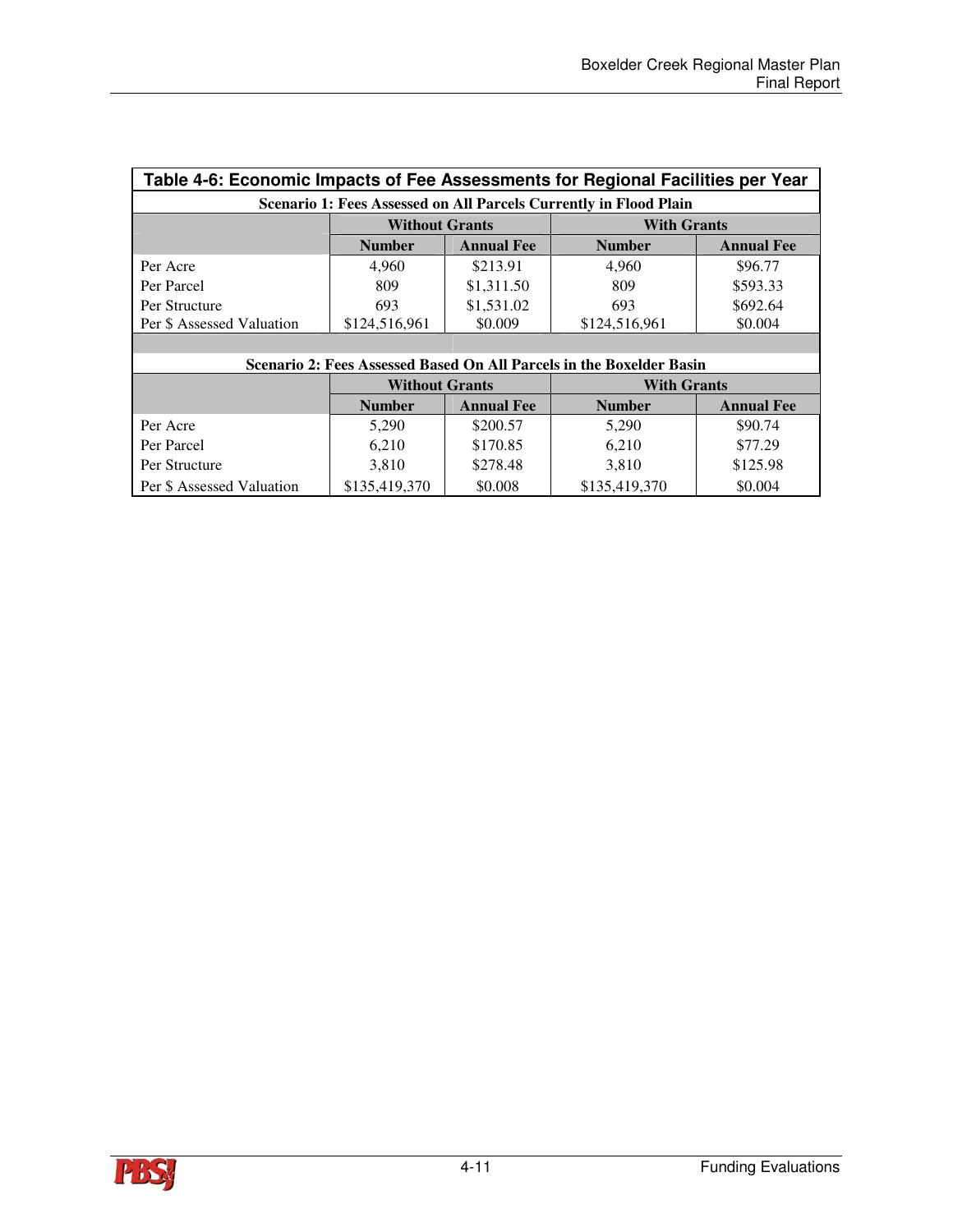| Table 4-6: Economic Impacts of Fee Assessments for Regional Facilities per Year |                       |                   |                                                                      |                   |  |  |  |  |  |  |  |  |
|---------------------------------------------------------------------------------|-----------------------|-------------------|----------------------------------------------------------------------|-------------------|--|--|--|--|--|--|--|--|
| Scenario 1: Fees Assessed on All Parcels Currently in Flood Plain               |                       |                   |                                                                      |                   |  |  |  |  |  |  |  |  |
|                                                                                 | <b>Without Grants</b> |                   | <b>With Grants</b>                                                   |                   |  |  |  |  |  |  |  |  |
|                                                                                 | <b>Number</b>         | <b>Annual Fee</b> | <b>Number</b>                                                        | <b>Annual Fee</b> |  |  |  |  |  |  |  |  |
| Per Acre                                                                        | 4,960                 | \$213.91          | 4,960                                                                | \$96.77           |  |  |  |  |  |  |  |  |
| Per Parcel                                                                      | 809                   | \$1,311.50        | 809                                                                  | \$593.33          |  |  |  |  |  |  |  |  |
| Per Structure                                                                   | 693                   | \$1,531.02        | 693                                                                  | \$692.64          |  |  |  |  |  |  |  |  |
| Per \$ Assessed Valuation                                                       | \$124,516,961         | \$0.009           | \$124,516,961                                                        | \$0.004           |  |  |  |  |  |  |  |  |
|                                                                                 |                       |                   |                                                                      |                   |  |  |  |  |  |  |  |  |
|                                                                                 |                       |                   | Scenario 2: Fees Assessed Based On All Parcels in the Boxelder Basin |                   |  |  |  |  |  |  |  |  |
|                                                                                 | <b>Without Grants</b> |                   | <b>With Grants</b>                                                   |                   |  |  |  |  |  |  |  |  |
|                                                                                 | <b>Number</b>         | <b>Annual Fee</b> | <b>Number</b>                                                        | <b>Annual Fee</b> |  |  |  |  |  |  |  |  |
| Per Acre                                                                        | 5,290                 | \$200.57          | 5,290                                                                | \$90.74           |  |  |  |  |  |  |  |  |
| Per Parcel                                                                      | 6,210                 | \$170.85          | 6,210                                                                | \$77.29           |  |  |  |  |  |  |  |  |
| Per Structure                                                                   | 3,810                 | \$278.48          | 3,810                                                                | \$125.98          |  |  |  |  |  |  |  |  |
| Per \$ Assessed Valuation                                                       | \$135,419,370         | \$0.008           | \$135,419,370                                                        | \$0.004           |  |  |  |  |  |  |  |  |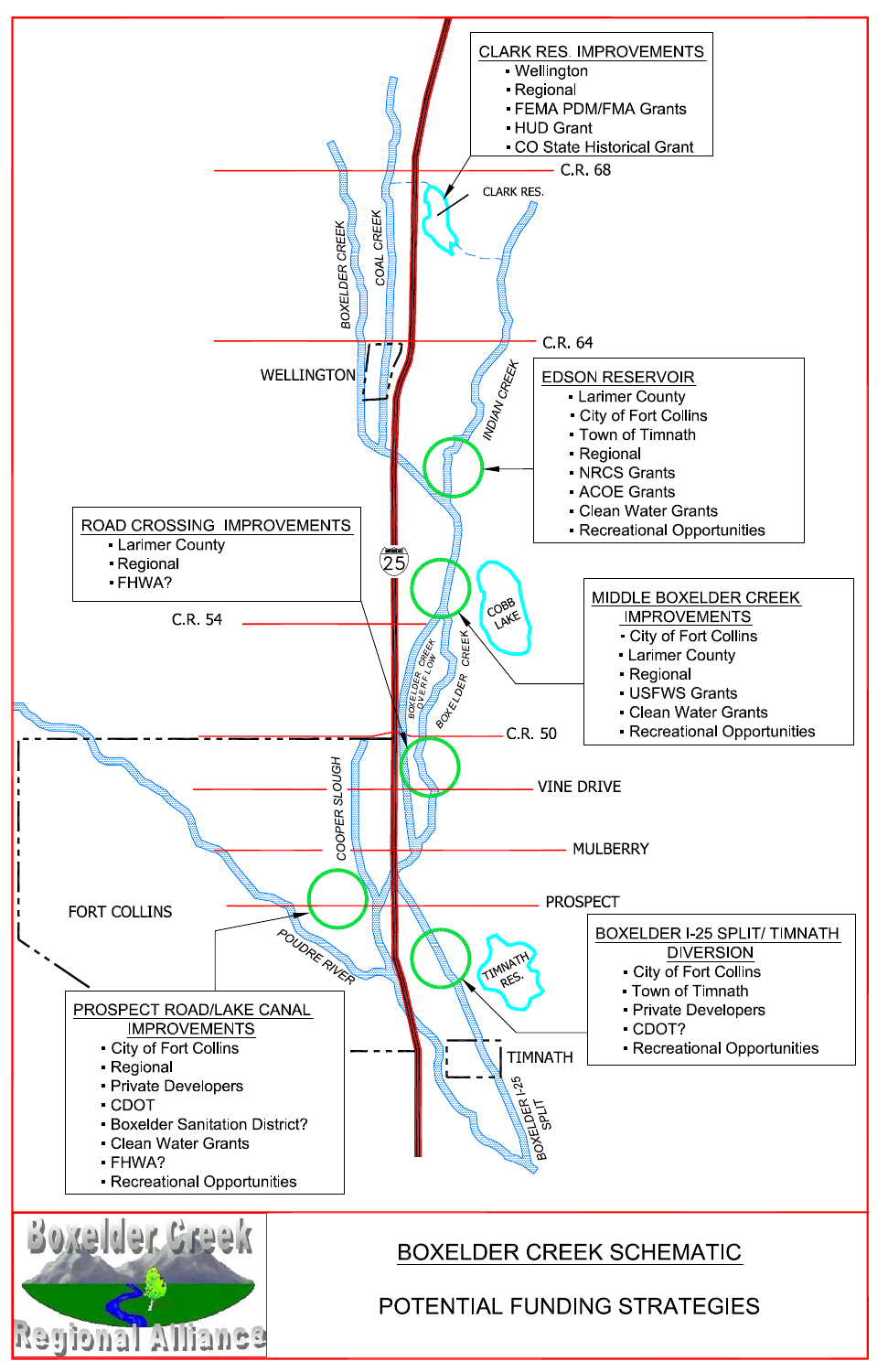

- 
- 
- 
- 
- 
- 
- 
- Recreational Opportunities

# Boxelder Greek Regional Alliance

# BOXELDER CREEK SCHEMATIC

# POTENTIAL FUNDING STRATEGIES